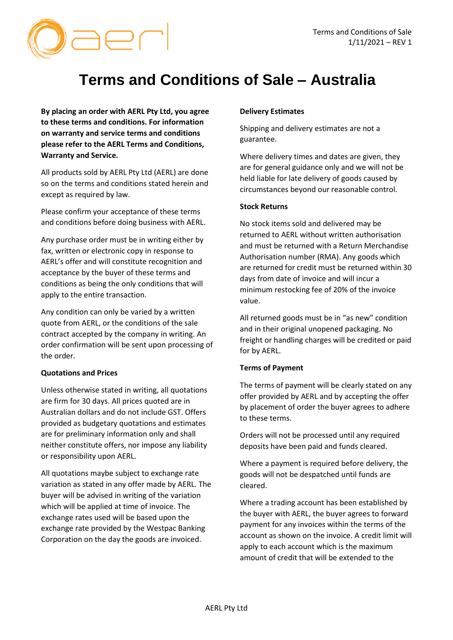# **Terms and Conditions of Sale – Australia**

**By placing an order with AERL Pty Ltd, you agree to these terms and conditions. For information on warranty and service terms and conditions please refer to the AERL Terms and Conditions, Warranty and Service.**

All products sold by AERL Pty Ltd (AERL) are done so on the terms and conditions stated herein and except as required by law.

Please confirm your acceptance of these terms and conditions before doing business with AERL.

Any purchase order must be in writing either by fax, written or electronic copy in response to AERL's offer and will constitute recognition and acceptance by the buyer of these terms and conditions as being the only conditions that will apply to the entire transaction.

Any condition can only be varied by a written quote from AERL, or the conditions of the sale contract accepted by the company in writing. An order confirmation will be sent upon processing of the order.

# **Quotations and Prices**

Unless otherwise stated in writing, all quotations are firm for 30 days. All prices quoted are in Australian dollars and do not include GST. Offers provided as budgetary quotations and estimates are for preliminary information only and shall neither constitute offers, nor impose any liability or responsibility upon AERL.

All quotations maybe subject to exchange rate variation as stated in any offer made by AERL. The buyer will be advised in writing of the variation which will be applied at time of invoice. The exchange rates used will be based upon the exchange rate provided by the Westpac Banking Corporation on the day the goods are invoiced.

# **Delivery Estimates**

Shipping and delivery estimates are not a guarantee.

Where delivery times and dates are given, they are for general guidance only and we will not be held liable for late delivery of goods caused by circumstances beyond our reasonable control.

# **Stock Returns**

No stock items sold and delivered may be returned to AERL without written authorisation and must be returned with a Return Merchandise Authorisation number (RMA). Any goods which are returned for credit must be returned within 30 days from date of invoice and will incur a minimum restocking fee of 20% of the invoice value.

All returned goods must be in "as new" condition and in their original unopened packaging. No freight or handling charges will be credited or paid for by AERL.

# **Terms of Payment**

The terms of payment will be clearly stated on any offer provided by AERL and by accepting the offer by placement of order the buyer agrees to adhere to these terms.

Orders will not be processed until any required deposits have been paid and funds cleared.

Where a payment is required before delivery, the goods will not be despatched until funds are cleared.

Where a trading account has been established by the buyer with AERL, the buyer agrees to forward payment for any invoices within the terms of the account as shown on the invoice. A credit limit will apply to each account which is the maximum amount of credit that will be extended to the